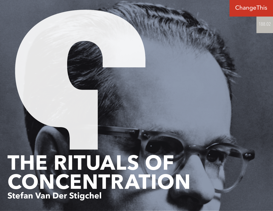

**Stefan Van Der Stigchel**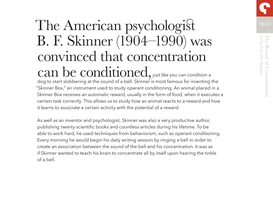# The American psychologist B. F. Skinner (1904–1990) was convinced that concentration Can be conditioned, just like you can condition a

dog to start slobbering at the sound of a bell. Skinner is most famous for inventing the "Skinner Box," an instrument used to study operant conditioning. An animal placed in a Skinner Box receives an automatic reward, usually in the form of food, when it executes a certain task correctly. This allows us to study how an animal reacts to a reward and how it learns to associate a certain activity with the potential of a reward.

As well as an inventor and psychologist, Skinner was also a very productive author, publishing twenty scientific books and countless articles during his lifetime. To be able to work hard, he used techniques from behaviorism, such as operant conditioning. Every morning he would begin his daily writing session by ringing a bell in order to create an association between the sound of the bell and his concentration. It was as if Skinner wanted to teach his brain to concentrate all by itself upon hearing the tinkle of a bell.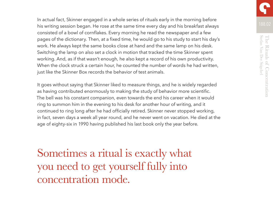In actual fact, Skinner engaged in a whole series of rituals early in the morning before his writing session began. He rose at the same time every day and his breakfast always consisted of a bowl of cornflakes. Every morning he read the newspaper and a few pages of the dictionary. Then, at a fixed time, he would go to his study to start his day's work. He always kept the same books close at hand and the same lamp on his desk. Switching the lamp on also set a clock in motion that tracked the time Skinner spent working. And, as if that wasn't enough, he also kept a record of his own productivity. When the clock struck a certain hour, he counted the number of words he had written, just like the Skinner Box records the behavior of test animals.

It goes without saying that Skinner liked to measure things, and he is widely regarded as having contributed enormously to making the study of behavior more scientific. The bell was his constant companion, even towards the end his career when it would ring to summon him in the evening to his desk for another hour of writing, and it continued to ring long after he had officially retired. Skinner never stopped working, in fact, seven days a week all year round, and he never went on vacation. He died at the age of eighty-six in 1990 having published his last book only the year before.

Sometimes a ritual is exactly what you need to get yourself fully into concentration mode.

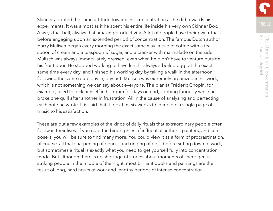Skinner adopted the same attitude towards his concentration as he did towards his experiments. It was almost as if he spent his entire life inside his very own Skinner Box. Always that bell, always that amazing productivity. A lot of people have their own rituals before engaging upon an extended period of concentration. The famous Dutch author Harry Mulisch began every morning the exact same way: a cup of coffee with a teaspoon of cream and a teaspoon of sugar, and a cracker with marmalade on the side. Mulisch was always immaculately dressed, even when he didn't have to venture outside his front door. He stopped working to have lunch–always a boiled egg–at the exact same time every day, and finished his working day by taking a walk in the afternoon following the same route day in, day out. Mulisch was extremely organized in his work, which is not something we can say about everyone. The pianist Frédéric Chopin, for example, used to lock himself in his room for days on end, sobbing furiously while he broke one quill after another in frustration. All in the cause of analyzing and perfecting each note he wrote. It is said that it took him six weeks to complete a single page of music to his satisfaction.

These are but a few examples of the kinds of daily rituals that extraordinary people often follow in their lives. If you read the biographies of influential authors, painters, and composers, you will be sure to find many more. You could view it as a form of procrastination, of course, all that sharpening of pencils and ringing of bells before sitting down to work, but sometimes a ritual is exactly what you need to get yourself fully into concentration mode. But although there is no shortage of stories about moments of sheer genius striking people in the middle of the night, most brilliant books and paintings are the result of long, hard hours of work and lengthy periods of intense concentration.

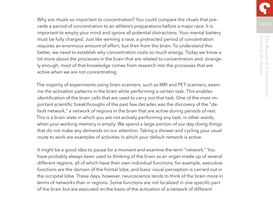Why are rituals so important to concentration? You could compare the rituals that precede a period of concentration to an athlete's preparations before a major race. It is important to empty your mind and ignore all potential distractions. Your mental battery must be fully charged. Just like winning a race, a protracted period of concentration requires an enormous amount of effort, but then from the brain. To understand this better, we need to establish why concentration costs so much energy. Today we know a lot more about the processes in the brain that are related to concentration and, strangely enough, most of that knowledge comes from research into the processes that are active when we are not concentrating.

The majority of experiments using brain scanners, such as MRI and PET scanners, examine the activation patterns in the brain while performing a certain task. This enables identification of the brain cells that are used to carry out that task. One of the most important scientific breakthroughs of the past few decades was the discovery of the "default network," a network of regions in the brain that are active during periods of rest. This is a brain state in which you are not actively performing any task; in other words, when your working memory is empty. We spend a large portion of our day doing things that do not make any demands on our attention. Taking a shower and cycling your usual route to work are examples of activities in which your default network is active.

It might be a good idea to pause for a moment and examine the term "network." You have probably always been used to thinking of the brain as an organ made up of several different regions, all of which have their own individual functions; for example, executive functions are the domain of the frontal lobe, and basic visual perception is carried out in the occipital lobe. These days, however, neuroscience tends to think of the brain more in terms of networks than in regions. Some functions are not localized in one specific part of the brain but are executed on the basis of the activation of a network of different

188.02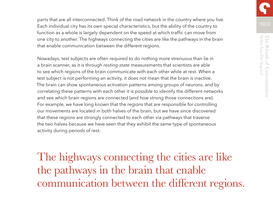parts that are all interconnected. Think of the road network in the country where you live. Each individual city has its own special characteristics, but the ability of the country to function as a whole is largely dependent on the speed at which traffic can move from one city to another. The highways connecting the cities are like the pathways in the brain that enable communication between the different regions.

Nowadays, test subjects are often required to do nothing more strenuous than lie in a brain scanner, as it is through *resting-state* measurements that scientists are able to see which regions of the brain communicate with each other while at rest. When a test subject is not performing an activity, it does not mean that the brain is inactive. The brain can show spontaneous activation patterns among groups of neurons, and by correlating these patterns with each other it is possible to identify the different networks and see which brain regions are connected (and how strong those connections are). For example, we have long known that the regions that are responsible for controlling our movements are located in both halves of the brain, but we have since discovered that these regions are strongly connected to each other via pathways that traverse the two halves because we have seen that they exhibit the same type of spontaneous activity during periods of rest.

The highways connecting the cities are like the pathways in the brain that enable communication between the different regions. 188.02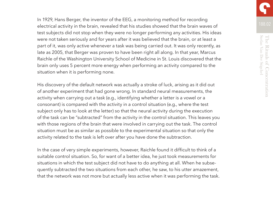In 1929, Hans Berger, the inventor of the EEG, a monitoring method for recording electrical activity in the brain, revealed that his studies showed that the brain waves of test subjects did not stop when they were no longer performing any activities. His ideas were not taken seriously and for years after it was believed that the brain, or at least a part of it, was only active whenever a task was being carried out. It was only recently, as late as 2005, that Berger was proven to have been right all along. In that year, Marcus Raichle of the Washington University School of Medicine in St. Louis discovered that the brain only uses 5 percent more energy when performing an activity compared to the situation when it is performing none.

His discovery of the default network was actually a stroke of luck, arising as it did out of another experiment that had gone wrong. In standard neural measurements, the activity when carrying out a task (e.g., identifying whether a letter is a vowel or a consonant) is compared with the activity in a control situation (e.g., where the test subject only has to look at the letter) so that the neural activity during the execution of the task can be "subtracted" from the activity in the control situation. This leaves you with those regions of the brain that were involved in carrying out the task. The control situation must be as similar as possible to the experimental situation so that only the activity related to the task is left over after you have done the subtraction.

In the case of very simple experiments, however, Raichle found it difficult to think of a suitable control situation. So, for want of a better idea, he just took measurements for situations in which the test subject did not have to do anything at all. When he subsequently subtracted the two situations from each other, he saw, to his utter amazement, that the network was not more but actually less active when it was performing the task. Concentration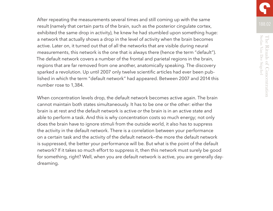After repeating the measurements several times and still coming up with the same result (namely that certain parts of the brain, such as the posterior cingulate cortex, exhibited the same drop in activity), he knew he had stumbled upon something huge: a network that actually shows a drop in the level of activity when the brain becomes active. Later on, it turned out that of all the networks that are visible during neural measurements, this network is the one that is always there (hence the term "default"). The default network covers a number of the frontal and parietal regions in the brain, regions that are far removed from one another, anatomically speaking. The discovery sparked a revolution. Up until 2007 only twelve scientific articles had ever been published in which the term "default network" had appeared. Between 2007 and 2014 this number rose to 1,384.

When concentration levels drop, the default network becomes active again. The brain cannot maintain both states simultaneously. It has to be one or the other: either the brain is at rest and the default network is active *or* the brain is in an active state and able to perform a task. And this is why concentration costs so much energy; not only does the brain have to ignore stimuli from the outside world, it also has to suppress the activity in the default network. There is a correlation between your performance on a certain task and the activity of the default network—the more the default network is suppressed, the better your performance will be. But what is the point of the default network? If it takes so much effort to suppress it, then this network must surely be good for something, right? Well, when you are default network is active, you are generally daydreaming.

Concentration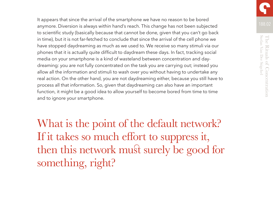It appears that since the arrival of the smartphone we have no reason to be bored anymore. Diversion is always within hand's reach. This change has not been subjected to scientific study (basically because that cannot be done, given that you can't go back in time), but it is not far-fetched to conclude that since the arrival of the cell phone we have stopped daydreaming as much as we used to. We receive so many stimuli via our phones that it is actually quite difficult to daydream these days. In fact, tracking social media on your smartphone is a kind of wasteland between concentration and daydreaming: you are not fully concentrated on the task you are carrying out; instead you allow all the information and stimuli to wash over you without having to undertake any real action. On the other hand, you are not daydreaming either, because you still have to process all that information. So, given that daydreaming can also have an important function, it might be a good idea to allow yourself to become bored from time to time and to ignore your smartphone.

What is the point of the default network? If it takes so much effort to suppress it, then this network must surely be good for something, right?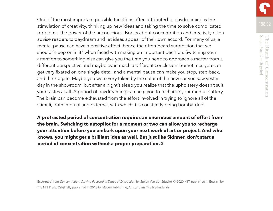One of the most important possible functions often attributed to daydreaming is the stimulation of creativity, thinking up new ideas and taking the time to solve complicated problems—the power of the unconscious. Books about concentration and creativity often advise readers to daydream and let ideas appear of their own accord. For many of us, a mental pause can have a positive effect, hence the often-heard suggestion that we should "sleep on in it" when faced with making an important decision. Switching your attention to something else can give you the time you need to approach a matter from a different perspective and maybe even reach a different conclusion. Sometimes you can get very fixated on one single detail and a mental pause can make you stop, step back, and think again. Maybe you were very taken by the color of the new car you saw yesterday in the showroom, but after a night's sleep you realize that the upholstery doesn't suit your tastes at all. A period of daydreaming can help you to recharge your mental battery. The brain can become exhausted from the effort involved in trying to ignore all of the stimuli, both internal and external, with which it is constantly being bombarded.

**A protracted period of concentration requires an enormous amount of effort from the brain. Switching to autopilot for a moment or two can allow you to recharge your attention before you embark upon your next work of art or project. And who knows, you might get a brilliant idea as well. But just like Skinner, don't start a period of concentration without a proper preparation.**

Excerpted from *Concentration: Staying Focused in Times of Distraction* by Stefan Van der Stigchel © 2020 MIT, published in English by The MIT Press. Originally published in 2018 by Maven Publishing, Amsterdam, The Netherlands